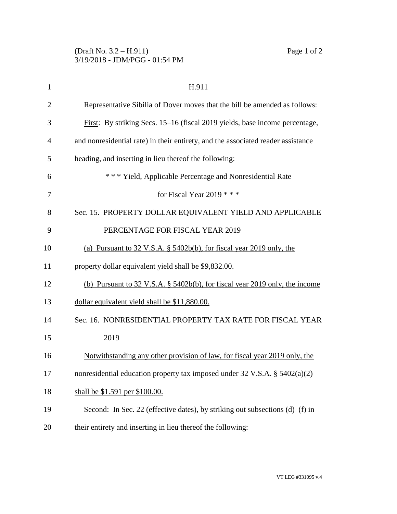| $\mathbf{1}$   | H.911                                                                            |
|----------------|----------------------------------------------------------------------------------|
| $\overline{2}$ | Representative Sibilia of Dover moves that the bill be amended as follows:       |
| 3              | First: By striking Secs. 15–16 (fiscal 2019 yields, base income percentage,      |
| 4              | and nonresidential rate) in their entirety, and the associated reader assistance |
| 5              | heading, and inserting in lieu thereof the following:                            |
| 6              | *** Yield, Applicable Percentage and Nonresidential Rate                         |
| 7              | for Fiscal Year 2019 $***$                                                       |
| 8              | Sec. 15. PROPERTY DOLLAR EQUIVALENT YIELD AND APPLICABLE                         |
| 9              | PERCENTAGE FOR FISCAL YEAR 2019                                                  |
| 10             | (a) Pursuant to $32 \text{ V.S.A. }$ \$5402b(b), for fiscal year 2019 only, the  |
| 11             | property dollar equivalent yield shall be \$9,832.00.                            |
| 12             | (b) Pursuant to 32 V.S.A. § 5402b(b), for fiscal year 2019 only, the income      |
| 13             | dollar equivalent yield shall be \$11,880.00.                                    |
| 14             | Sec. 16. NONRESIDENTIAL PROPERTY TAX RATE FOR FISCAL YEAR                        |
| 15             | 2019                                                                             |
| 16             | Notwithstanding any other provision of law, for fiscal year 2019 only, the       |
| 17             | nonresidential education property tax imposed under 32 V.S.A. § 5402(a)(2)       |
| 18             | shall be \$1.591 per \$100.00.                                                   |
| 19             | Second: In Sec. 22 (effective dates), by striking out subsections (d)–(f) in     |
| 20             | their entirety and inserting in lieu thereof the following:                      |